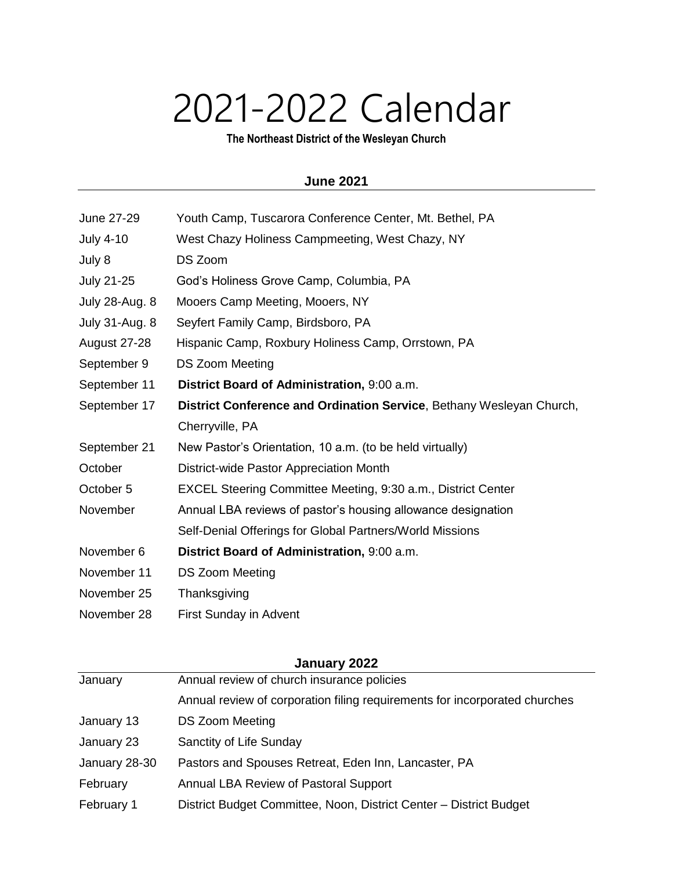## 2021-2022 Calendar

**The Northeast District of the Wesleyan Church**

## **June 2021**

| June 27-29            | Youth Camp, Tuscarora Conference Center, Mt. Bethel, PA              |
|-----------------------|----------------------------------------------------------------------|
| <b>July 4-10</b>      | West Chazy Holiness Campmeeting, West Chazy, NY                      |
| July 8                | DS Zoom                                                              |
| <b>July 21-25</b>     | God's Holiness Grove Camp, Columbia, PA                              |
| <b>July 28-Aug. 8</b> | Mooers Camp Meeting, Mooers, NY                                      |
| <b>July 31-Aug. 8</b> | Seyfert Family Camp, Birdsboro, PA                                   |
| August 27-28          | Hispanic Camp, Roxbury Holiness Camp, Orrstown, PA                   |
| September 9           | DS Zoom Meeting                                                      |
| September 11          | District Board of Administration, 9:00 a.m.                          |
| September 17          | District Conference and Ordination Service, Bethany Wesleyan Church, |
|                       | Cherryville, PA                                                      |
| September 21          | New Pastor's Orientation, 10 a.m. (to be held virtually)             |
| October               | District-wide Pastor Appreciation Month                              |
| October 5             | EXCEL Steering Committee Meeting, 9:30 a.m., District Center         |
| November              | Annual LBA reviews of pastor's housing allowance designation         |
|                       | Self-Denial Offerings for Global Partners/World Missions             |
| November 6            | District Board of Administration, 9:00 a.m.                          |
| November 11           | DS Zoom Meeting                                                      |
| November 25           | Thanksgiving                                                         |
| November 28           | First Sunday in Advent                                               |

| January <i><b>LULL</b></i> |                                                                            |
|----------------------------|----------------------------------------------------------------------------|
| January                    | Annual review of church insurance policies                                 |
|                            | Annual review of corporation filing requirements for incorporated churches |
| January 13                 | <b>DS Zoom Meeting</b>                                                     |
| January 23                 | Sanctity of Life Sunday                                                    |
| January 28-30              | Pastors and Spouses Retreat, Eden Inn, Lancaster, PA                       |
| February                   | Annual LBA Review of Pastoral Support                                      |
| February 1                 | District Budget Committee, Noon, District Center - District Budget         |
|                            |                                                                            |

## **January 2022**